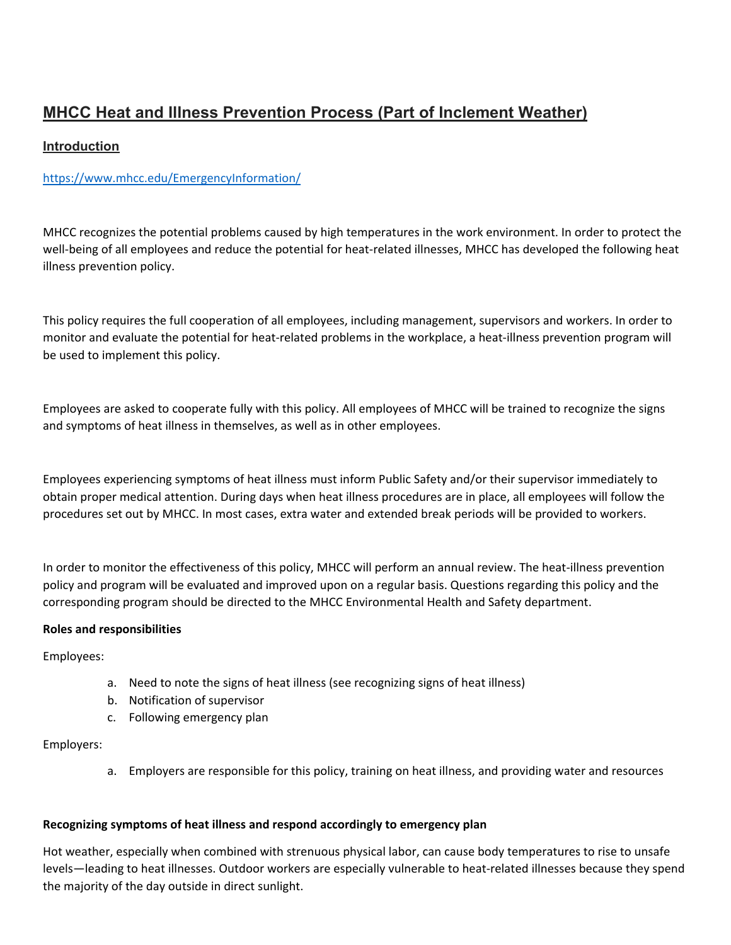# **MHCC Heat and Illness Prevention Process (Part of Inclement Weather)**

# **Introduction**

# <https://www.mhcc.edu/EmergencyInformation/>

MHCC recognizes the potential problems caused by high temperatures in the work environment. In order to protect the well-being of all employees and reduce the potential for heat-related illnesses, MHCC has developed the following heat illness prevention policy.

This policy requires the full cooperation of all employees, including management, supervisors and workers. In order to monitor and evaluate the potential for heat-related problems in the workplace, a heat-illness prevention program will be used to implement this policy.

Employees are asked to cooperate fully with this policy. All employees of MHCC will be trained to recognize the signs and symptoms of heat illness in themselves, as well as in other employees.

Employees experiencing symptoms of heat illness must inform Public Safety and/or their supervisor immediately to obtain proper medical attention. During days when heat illness procedures are in place, all employees will follow the procedures set out by MHCC. In most cases, extra water and extended break periods will be provided to workers.

In order to monitor the effectiveness of this policy, MHCC will perform an annual review. The heat-illness prevention policy and program will be evaluated and improved upon on a regular basis. Questions regarding this policy and the corresponding program should be directed to the MHCC Environmental Health and Safety department.

### **Roles and responsibilities**

Employees:

- a. Need to note the signs of heat illness (see recognizing signs of heat illness)
- b. Notification of supervisor
- c. Following emergency plan

### Employers:

a. Employers are responsible for this policy, training on heat illness, and providing water and resources

### **Recognizing symptoms of heat illness and respond accordingly to emergency plan**

Hot weather, especially when combined with strenuous physical labor, can cause body temperatures to rise to unsafe levels—leading to heat illnesses. Outdoor workers are especially vulnerable to heat-related illnesses because they spend the majority of the day outside in direct sunlight.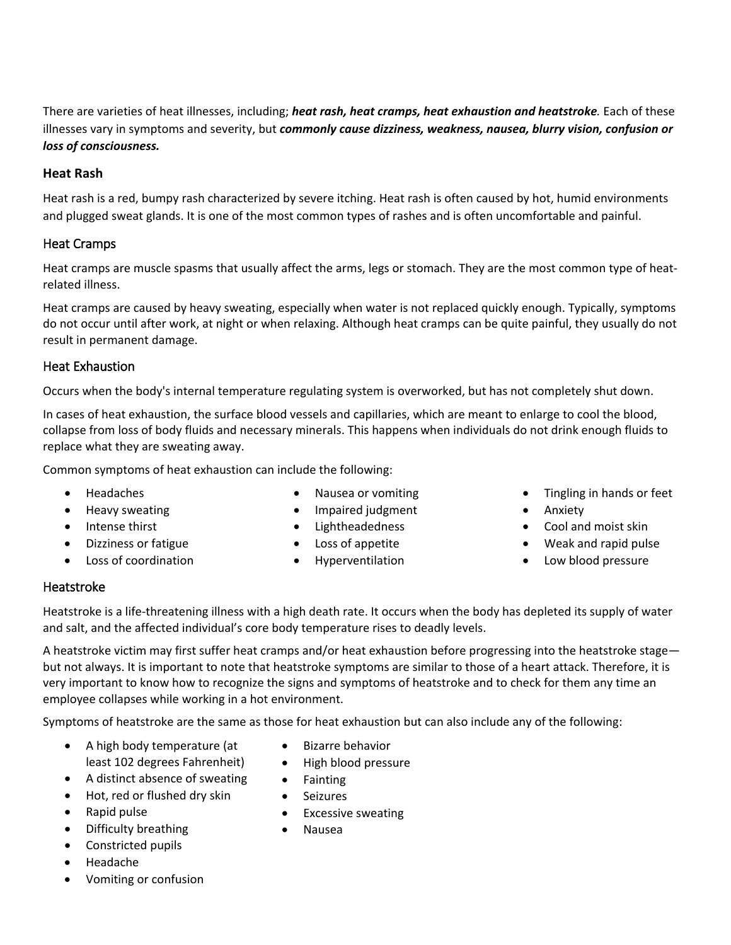There are varieties of heat illnesses, including; *heat rash, heat cramps, heat exhaustion and heatstroke.* Each of these illnesses vary in symptoms and severity, but *commonly cause dizziness, weakness, nausea, blurry vision, confusion or loss of consciousness.*

## **Heat Rash**

Heat rash is a red, bumpy rash characterized by severe itching. Heat rash is often caused by hot, humid environments and plugged sweat glands. It is one of the most common types of rashes and is often uncomfortable and painful.

# Heat Cramps

Heat cramps are muscle spasms that usually affect the arms, legs or stomach. They are the most common type of heatrelated illness.

Heat cramps are caused by heavy sweating, especially when water is not replaced quickly enough. Typically, symptoms do not occur until after work, at night or when relaxing. Although heat cramps can be quite painful, they usually do not result in permanent damage.

## Heat Exhaustion

Occurs when the body's internal temperature regulating system is overworked, but has not completely shut down.

In cases of heat exhaustion, the surface blood vessels and capillaries, which are meant to enlarge to cool the blood, collapse from loss of body fluids and necessary minerals. This happens when individuals do not drink enough fluids to replace what they are sweating away.

Common symptoms of heat exhaustion can include the following:

- Headaches
- Heavy sweating
- Intense thirst
- Dizziness or fatigue
- Loss of coordination
- Nausea or vomiting
- Impaired judgment
- Lightheadedness
- Loss of appetite
- Hyperventilation
- Tingling in hands or feet
- Anxiety
- Cool and moist skin
- Weak and rapid pulse
- Low blood pressure

### Heatstroke

Heatstroke is a life-threatening illness with a high death rate. It occurs when the body has depleted its supply of water and salt, and the affected individual's core body temperature rises to deadly levels.

A heatstroke victim may first suffer heat cramps and/or heat exhaustion before progressing into the heatstroke stage but not always. It is important to note that heatstroke symptoms are similar to those of a heart attack. Therefore, it is very important to know how to recognize the signs and symptoms of heatstroke and to check for them any time an employee collapses while working in a hot environment.

Symptoms of heatstroke are the same as those for heat exhaustion but can also include any of the following:

- A high body temperature (at least 102 degrees Fahrenheit)
- A distinct absence of sweating
- Hot, red or flushed dry skin
- Rapid pulse
- Difficulty breathing
- Constricted pupils
- Headache
- Vomiting or confusion
- Bizarre behavior
- High blood pressure
- Fainting
- Seizures
- Excessive sweating
- Nausea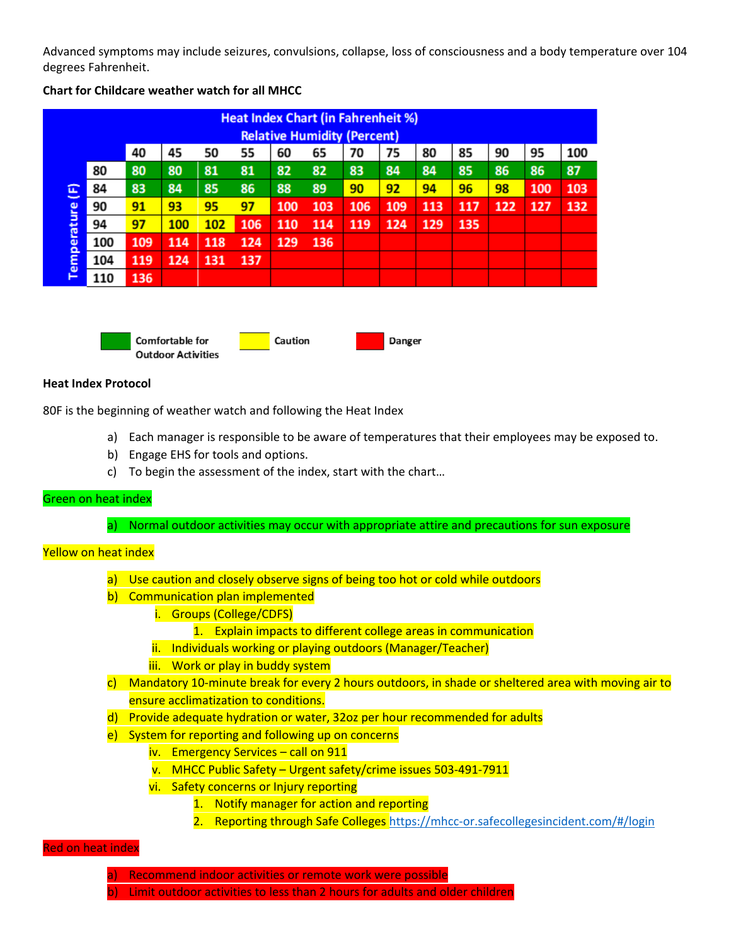Advanced symptoms may include seizures, convulsions, collapse, loss of consciousness and a body temperature over 104 degrees Fahrenheit.

| <b>Heat Index Chart (in Fahrenheit %)</b><br><b>Relative Humidity (Percent)</b> |     |     |     |     |     |     |     |     |     |     |     |     |     |     |
|---------------------------------------------------------------------------------|-----|-----|-----|-----|-----|-----|-----|-----|-----|-----|-----|-----|-----|-----|
|                                                                                 |     | 40  | 45  | 50  | 55  | 60  | 65  | 70  | 75  | 80  | 85  | 90  | 95  | 100 |
| <b>E</b><br>$\overline{\phantom{a}}$<br>Temperature                             | 80  | 80  | 80  | 81  | 81  | 82  | 82  | 83  | 84  | 84  | 85  | 86  | 86  | 87  |
|                                                                                 | 84  | 83  | 84  | 85  | 86  | 88  | 89  | 90  | 92  | 94  | 96  | 98  | 100 | 103 |
|                                                                                 | 90  | 91  | 93  | 95  | 97  | 100 | 103 | 106 | 109 | 113 | 117 | 122 | 127 | 132 |
|                                                                                 | 94  | 97  | 100 | 102 | 106 | 110 | 114 | 119 | 124 | 129 | 135 |     |     |     |
|                                                                                 | 100 | 109 | 114 | 118 | 124 | 129 | 136 |     |     |     |     |     |     |     |
|                                                                                 | 104 | 119 | 124 | 131 | 137 |     |     |     |     |     |     |     |     |     |
|                                                                                 | 110 | 136 |     |     |     |     |     |     |     |     |     |     |     |     |

#### **Chart for Childcare weather watch for all MHCC**



#### **Heat Index Protocol**

80F is the beginning of weather watch and following the Heat Index

- a) Each manager is responsible to be aware of temperatures that their employees may be exposed to.
- b) Engage EHS for tools and options.
- c) To begin the assessment of the index, start with the chart…

#### Green on heat index

a) Normal outdoor activities may occur with appropriate attire and precautions for sun exposure

#### Yellow on heat index

- a) Use caution and closely observe signs of being too hot or cold while outdoors
- b) Communication plan implemented
	- i. Groups (College/CDFS)
		- 1. Explain impacts to different college areas in communication
	- ii. Individuals working or playing outdoors (Manager/Teacher)
	- iii. Work or play in buddy system
- c) Mandatory 10-minute break for every 2 hours outdoors, in shade or sheltered area with moving air to ensure acclimatization to conditions.
- d) Provide adequate hydration or water, 32oz per hour recommended for adults
- e) System for reporting and following up on concerns
	- iv. Emergency Services call on 911
	- v. MHCC Public Safety Urgent safety/crime issues 503-491-7911
	- vi. Safety concerns or Injury reporting
		- 1. Notify manager for action and reporting
			- 2. Reporting through Safe Colleges https://mhcc-or.safecollegesincident.com/#/login

#### Red on heat index

- a) Recommend indoor activities or remote work were possible
- b) Limit outdoor activities to less than 2 hours for adults and older children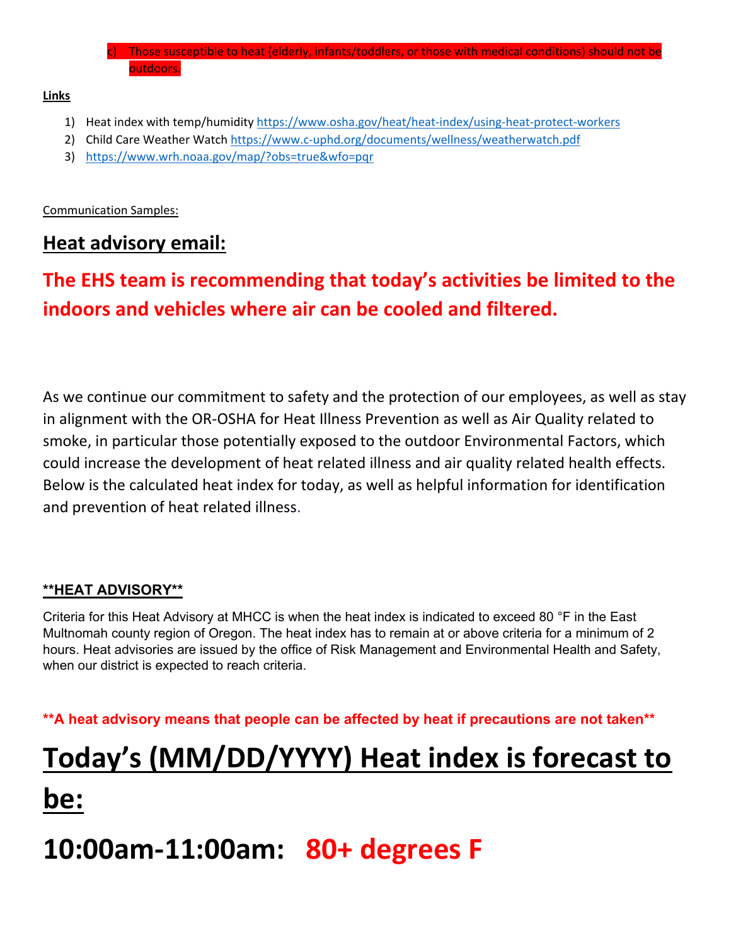Those susceptible to heat (elderly, infants/toddlers, or those with medical conditions) should not be outdoors.

**Links**

- 1) Heat index with temp/humidity<https://www.osha.gov/heat/heat-index/using-heat-protect-workers>
- 2) Child Care Weather Watch<https://www.c-uphd.org/documents/wellness/weatherwatch.pdf>
- 3) <https://www.wrh.noaa.gov/map/?obs=true&wfo=pqr>

Communication Samples:

# **Heat advisory email:**

# **The EHS team is recommending that today's activities be limited to the indoors and vehicles where air can be cooled and filtered.**

As we continue our commitment to safety and the protection of our employees, as well as stay in alignment with the OR-OSHA for Heat Illness Prevention as well as Air Quality related to smoke, in particular those potentially exposed to the outdoor Environmental Factors, which could increase the development of heat related illness and air quality related health effects. Below is the calculated heat index for today, as well as helpful information for identification and prevention of heat related illness.

# **\*\*HEAT ADVISORY\*\***

Criteria for this Heat Advisory at MHCC is when the heat index is indicated to exceed 80 °F in the East Multnomah county region of Oregon. The heat index has to remain at or above criteria for a minimum of 2 hours. Heat advisories are issued by the office of Risk Management and Environmental Health and Safety, when our district is expected to reach criteria.

**\*\*A heat advisory means that people can be affected by heat if precautions are not taken\*\***

# **Today's (MM/DD/YYYY) Heat index is forecast to**

# **be:**

# **10:00am-11:00am: 80+ degrees F**